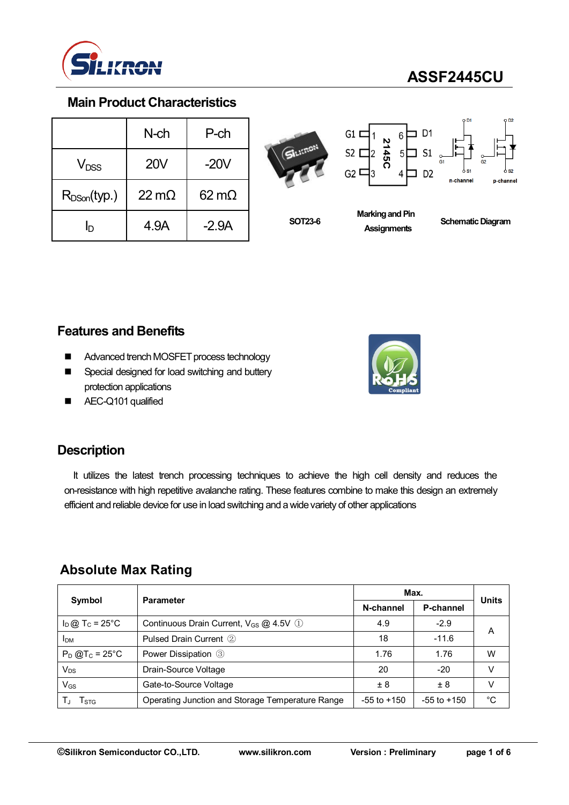

#### **Main Product Characteristics**

|                             | N-ch            | P-ch                 |
|-----------------------------|-----------------|----------------------|
| $\mathsf{V}_{\texttt{DSS}}$ | <b>20V</b>      | $-20V$               |
| $R_{DSon}(typ.)$            | $22 \text{ mA}$ | $62 \text{ m}\Omega$ |
| ln                          | 4.9A            | $-2.9A$              |

**SOT23-6**



**Schematic Diagram**

# **Features and Benefits**

- Advanced trench MOSFET process technology
- Special designed for load switching and buttery protection applications
- AEC-Q101 qualified



**Marking and Pin Assignments**

## **Description**

It utilizes the latest trench processing techniques to achieve the high cell density and reduces the on-resistance with high repetitive avalanche rating. These features combine to make this design an extremely efficient and reliable device for use in load switching and a wide variety of other applications

### **Absolute Max Rating**

|                               | <b>Parameter</b>                                 | Max.            | <b>Units</b>    |    |  |
|-------------------------------|--------------------------------------------------|-----------------|-----------------|----|--|
| Symbol                        |                                                  | N-channel       | P-channel       |    |  |
| $I_D$ @ T <sub>C</sub> = 25°C | Continuous Drain Current, $V_{GS}$ @ 4.5V (1)    | 4.9             | $-2.9$          | A  |  |
| <b>I</b> <sub>DM</sub>        | Pulsed Drain Current 2                           | 18              | $-11.6$         |    |  |
| $P_D$ @T <sub>c</sub> = 25°C  | Power Dissipation 3                              | 1.76            | 1.76            | W  |  |
| $\mathsf{V}_{\mathsf{DS}}$    | Drain-Source Voltage                             | 20              | $-20$           | v  |  |
| $\mathsf{V}_{\mathsf{GS}}$    | Gate-to-Source Voltage                           | ± 8             | ± 8             | v  |  |
| I STG                         | Operating Junction and Storage Temperature Range | $-55$ to $+150$ | $-55$ to $+150$ | °C |  |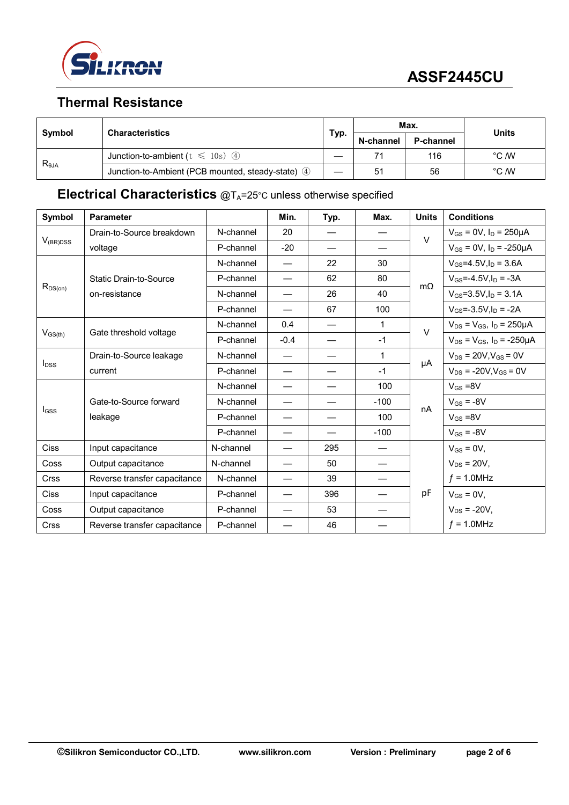

## **Thermal Resistance**

| <b>Symbol</b>  | <b>Characteristics</b>                            |  |           | Max.             | <b>Units</b>  |  |
|----------------|---------------------------------------------------|--|-----------|------------------|---------------|--|
|                |                                                   |  | N-channel | <b>P-channel</b> |               |  |
| $R_{\theta$ JA | Junction-to-ambient ( $t \le 10$ s) 4             |  |           | 116              | $\degree$ C M |  |
|                | Junction-to-Ambient (PCB mounted, steady-state) 4 |  | 51        | 56               | $\degree$ C M |  |

### **Electrical Characteristics** @T<sub>A</sub>=25°C unless otherwise specified

| Symbol        | <b>Parameter</b>              |           | Min.   | Typ.                     | Max.         | <b>Units</b> | <b>Conditions</b>                      |
|---------------|-------------------------------|-----------|--------|--------------------------|--------------|--------------|----------------------------------------|
| $V_{(BR)DSS}$ | Drain-to-Source breakdown     | N-channel | 20     |                          |              | $\vee$       | $V_{GS}$ = 0V, $I_D$ = 250µA           |
|               | voltage                       | P-channel | $-20$  | $\overline{\phantom{0}}$ |              |              | $V_{GS} = 0V$ , $I_D = -250 \mu A$     |
|               | <b>Static Drain-to-Source</b> | N-channel |        | 22                       | 30           |              | $V_{GS} = 4.5V I_D = 3.6A$             |
|               |                               | P-channel |        | 62                       | 80           |              | $V_{GS} = -4.5V I_D = -3A$             |
| $R_{DS(on)}$  | on-resistance                 | N-channel |        | 26                       | 40           | $m\Omega$    | $V_{GS} = 3.5V \cdot \ln = 3.1A$       |
|               |                               | P-channel |        | 67                       | 100          |              | $V_{GS} = -3.5 V, I_D = -2A$           |
|               |                               | N-channel | 0.4    |                          | $\mathbf{1}$ | $\vee$       | $V_{DS} = V_{GS}$ , $I_D = 250 \mu A$  |
| $V_{GS(th)}$  | Gate threshold voltage        | P-channel | $-0.4$ | $\overline{\phantom{0}}$ | $-1$         |              | $V_{DS} = V_{GS}$ , $I_D = -250 \mu A$ |
|               | Drain-to-Source leakage       | N-channel |        | $\overline{\phantom{0}}$ | 1            | μA           | $V_{DS}$ = 20V, $V_{GS}$ = 0V          |
| $I_{DSS}$     | current                       | P-channel |        |                          | $-1$         |              | $V_{DS}$ = -20V, $V_{GS}$ = 0V         |
|               |                               | N-channel |        |                          | 100          | nA           | $V_{GS} = 8V$                          |
|               | Gate-to-Source forward        | N-channel |        |                          | $-100$       |              | $V_{GS} = -8V$                         |
| lgss          | leakage                       | P-channel |        |                          | 100          |              | $V$ <sub>GS</sub> = $8V$               |
|               |                               | P-channel |        |                          | $-100$       |              | $V_{GS} = -8V$                         |
| Ciss          | Input capacitance             | N-channel |        | 295                      |              |              | $V_{GS} = 0V$ ,                        |
| Coss          | Output capacitance            | N-channel |        | 50                       |              |              | $V_{DS}$ = 20V,                        |
| <b>Crss</b>   | Reverse transfer capacitance  | N-channel |        | 39                       |              |              | $f = 1.0$ MHz                          |
| <b>Ciss</b>   | Input capacitance             | P-channel |        | 396                      |              | pF           | $V_{GS} = 0V$ ,                        |
| Coss          | Output capacitance            | P-channel |        | 53                       |              |              | $V_{DS} = -20V,$                       |
| Crss          | Reverse transfer capacitance  | P-channel |        | 46                       |              |              | $f = 1.0$ MHz                          |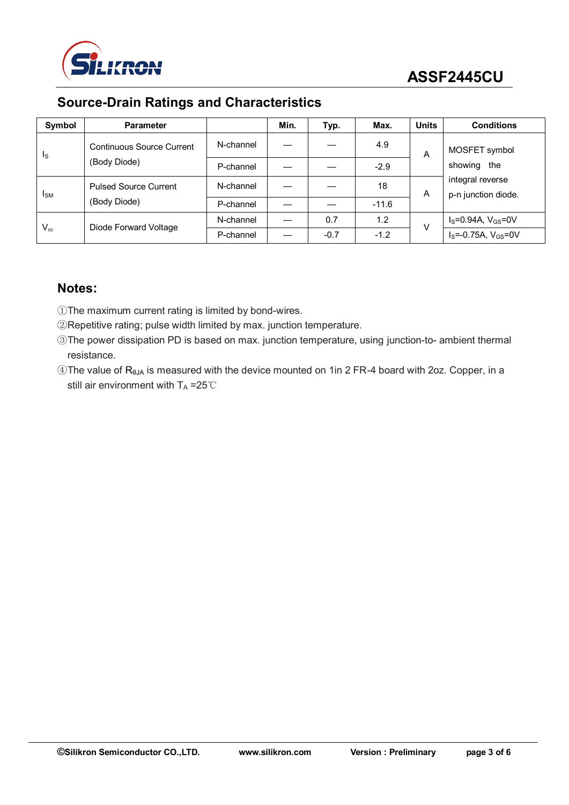

## **Source-Drain Ratings and Characteristics**

| Symbol                  | <b>Parameter</b>             |           | Min. | Typ.   | Max.    | <b>Units</b> | <b>Conditions</b>                                                          |
|-------------------------|------------------------------|-----------|------|--------|---------|--------------|----------------------------------------------------------------------------|
| $\mathsf{I}_\mathsf{S}$ | Continuous Source Current    | N-channel |      |        | 4.9     | A            | MOSFET symbol<br>showing<br>the<br>integral reverse<br>p-n junction diode. |
|                         | (Body Diode)                 | P-channel |      |        | $-2.9$  |              |                                                                            |
| <sub>IsM</sub>          | <b>Pulsed Source Current</b> | N-channel |      |        | 18      | A            |                                                                            |
|                         | (Body Diode)                 | P-channel |      |        | $-11.6$ |              |                                                                            |
| $V_{\textrm{SD}}$       | Diode Forward Voltage        | N-channel |      | 0.7    | 1.2     | v            | $I_S = 0.94A$ , $V_{GS} = 0V$                                              |
|                         |                              | P-channel |      | $-0.7$ | $-1.2$  |              | $I_S = -0.75A$ , $V_{GS} = 0V$                                             |

#### **Notes:**

- ①The maximum current rating is limited by bond-wires.
- ②Repetitive rating; pulse width limited by max. junction temperature.
- ③The power dissipation PD is based on max. junction temperature, using junction-to- ambient thermal resistance.
- ④The value of RθJA is measured with the device mounted on 1in 2 FR-4 board with 2oz. Copper, in a still air environment with  $T_A = 25^{\circ}$ C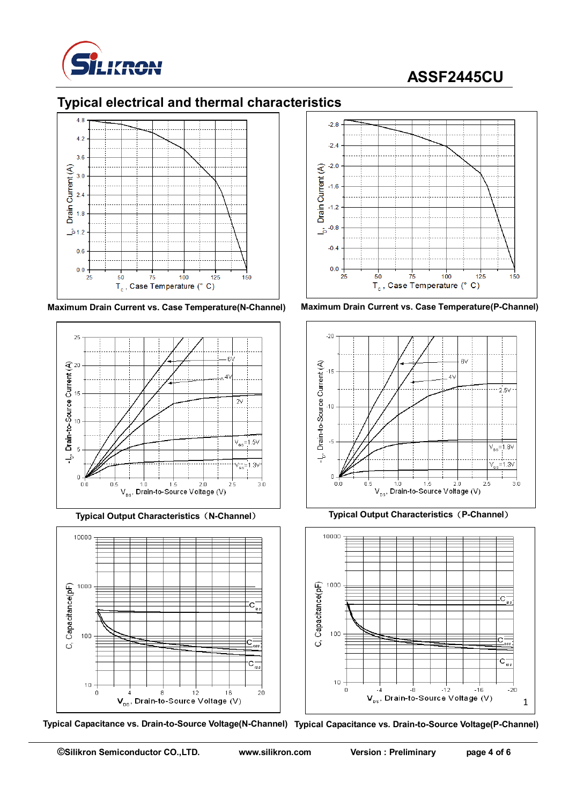

## **Typical electrical and thermal characteristics**







 $-2.8$  $-2.4$  $-2.0$ Drain Current (A)  $-1.6$  $-1.2$  $-6 - 0.8$  $-0.4$  $0.0$ 50  $75$  $100$  $125$ 150  $T_c$ , Case Temperature (° C)





**Typical Output Characteristics**(**N-Channel**) **Typical Output Characteristics**(**P-Channel**)



**Typical Capacitance vs. Drain-to-Source Voltage(N-Channel) Typical Capacitance vs. Drain-to-Source Voltage(P-Channel)**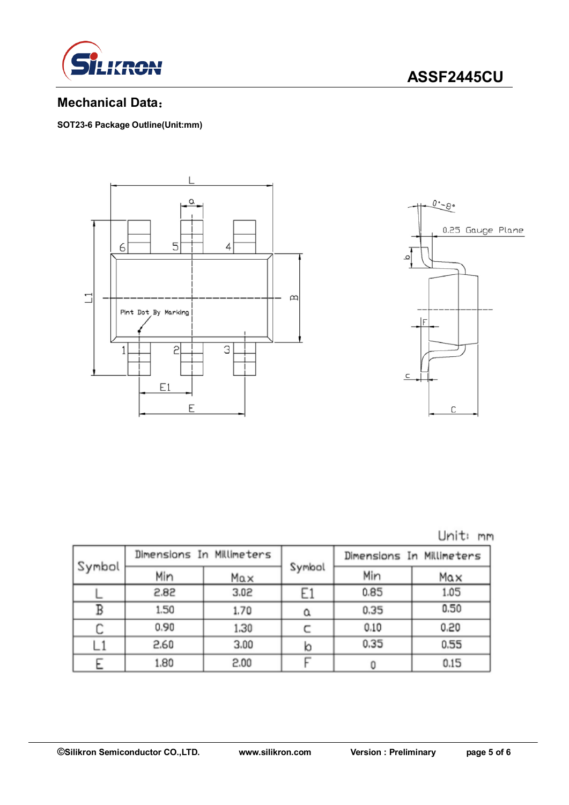

## **Mechanical Data**:

**SOT23-6 Package Outline(Unit:mm)**





Unit: mm

| Symbol | Dimensions In Millimeters |      |        | Dimensions In Millimeters |      |  |
|--------|---------------------------|------|--------|---------------------------|------|--|
|        | Min                       | Max  | Symbol | Min                       | Max  |  |
|        | 2.82                      | 3.02 | E1     | 0.85                      | 1.05 |  |
| В      | 1.50                      | 1.70 | α      | 0.35                      | 0.50 |  |
|        | 0.90                      | 1.30 | c      | 0.10                      | 0.20 |  |
| L1     | 2.60                      | 3.00 | b      | 0.35                      | 0.55 |  |
|        | 1.80                      | 2.00 |        |                           | 0.15 |  |